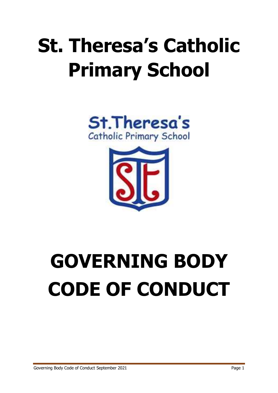## **St. Theresa's Catholic Primary School**





# **GOVERNING BODY CODE OF CONDUCT**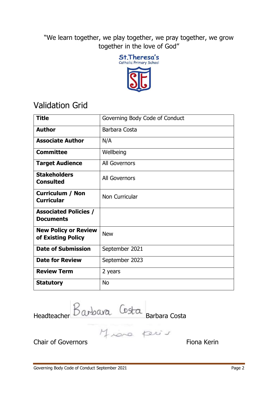"We learn together, we play together, we pray together, we grow together in the love of God"



## Validation Grid

| <b>Title</b>                                      | Governing Body Code of Conduct |
|---------------------------------------------------|--------------------------------|
| <b>Author</b>                                     | Barbara Costa                  |
| <b>Associate Author</b>                           | N/A                            |
| <b>Committee</b>                                  | Wellbeing                      |
| <b>Target Audience</b>                            | All Governors                  |
| <b>Stakeholders</b><br><b>Consulted</b>           | <b>All Governors</b>           |
| <b>Curriculum / Non</b><br><b>Curricular</b>      | Non Curricular                 |
| <b>Associated Policies /</b><br><b>Documents</b>  |                                |
| <b>New Policy or Review</b><br>of Existing Policy | <b>New</b>                     |
| <b>Date of Submission</b>                         | September 2021                 |
| <b>Date for Review</b>                            | September 2023                 |
| <b>Review Term</b>                                | 2 years                        |
| <b>Statutory</b>                                  | <b>No</b>                      |

Headteacher DW DWG Barbara Costa

Chair of Governors **Fiona** Kering Chair of Governors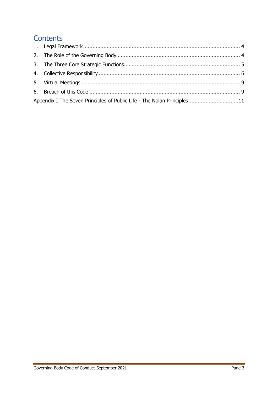### **Contents**

| Appendix I The Seven Principles of Public Life - The Nolan Principles11 |  |
|-------------------------------------------------------------------------|--|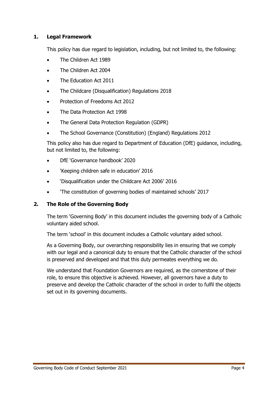#### <span id="page-3-0"></span>**1. Legal Framework**

This policy has due regard to legislation, including, but not limited to, the following:

- The Children Act 1989
- The Children Act 2004
- The Education Act 2011
- The Childcare (Disqualification) Regulations 2018
- Protection of Freedoms Act 2012
- The Data Protection Act 1998
- The General Data Protection Regulation (GDPR)
- The School Governance (Constitution) (England) Regulations 2012

This policy also has due regard to Department of Education (DfE) guidance, including, but not limited to, the following:

- DfE 'Governance handbook' 2020
- 'Keeping children safe in education' 2016
- 'Disqualification under the Childcare Act 2006' 2016
- 'The constitution of governing bodies of maintained schools' 2017

#### <span id="page-3-1"></span>**2. The Role of the Governing Body**

The term 'Governing Body' in this document includes the governing body of a Catholic voluntary aided school.

The term 'school' in this document includes a Catholic voluntary aided school.

As a Governing Body, our overarching responsibility lies in ensuring that we comply with our legal and a canonical duty to ensure that the Catholic character of the school is preserved and developed and that this duty permeates everything we do.

We understand that Foundation Governors are required, as the cornerstone of their role, to ensure this objective is achieved. However, all governors have a duty to preserve and develop the Catholic character of the school in order to fulfil the objects set out in its governing documents.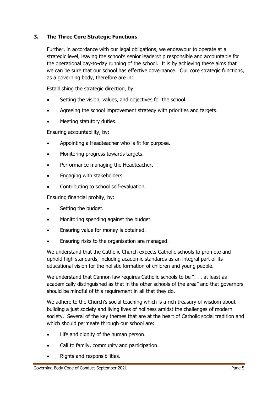#### <span id="page-4-0"></span>**3. The Three Core Strategic Functions**

Further, in accordance with our legal obligations, we endeavour to operate at a strategic level, leaving the school's senior leadership responsible and accountable for the operational day-to-day running of the school. It is by achieving these aims that we can be sure that our school has effective governance. Our core strategic functions, as a governing body, therefore are in:

Establishing the strategic direction, by:

- Setting the vision, values, and objectives for the school.
- Agreeing the school improvement strategy with priorities and targets.
- Meeting statutory duties.

Ensuring accountability, by:

- Appointing a Headteacher who is fit for purpose.
- Monitoring progress towards targets.
- Performance managing the Headteacher.
- Engaging with stakeholders.
- Contributing to school self-evaluation.

Ensuring financial probity, by:

- Setting the budget.
- Monitoring spending against the budget.
- Ensuring value for money is obtained.
- Ensuring risks to the organisation are managed.

We understand that the Catholic Church expects Catholic schools to promote and uphold high standards, including academic standards as an integral part of its educational vision for the holistic formation of children and young people.

We understand that Cannon law requires Catholic schools to be ". . . at least as academically distinguished as that in the other schools of the area" and that governors should be mindful of this requirement in all that they do.

We adhere to the Church's social teaching which is a rich treasury of wisdom about building a just society and living lives of holiness amidst the challenges of modern society. Several of the key themes that are at the heart of Catholic social tradition and which should permeate through our school are:

- Life and dignity of the human person.
- Call to family, community and participation.
- Rights and responsibilities.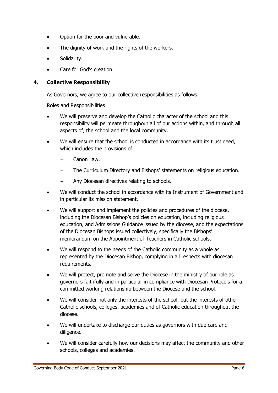- Option for the poor and vulnerable.
- The dignity of work and the rights of the workers.
- Solidarity.
- Care for God's creation.

#### <span id="page-5-0"></span>**4. Collective Responsibility**

As Governors, we agree to our collective responsibilities as follows:

Roles and Responsibilities

- We will preserve and develop the Catholic character of the school and this responsibility will permeate throughout all of our actions within, and through all aspects of, the school and the local community.
- We will ensure that the school is conducted in accordance with its trust deed, which includes the provisions of:
	- Canon Law.
	- The Curriculum Directory and Bishops' statements on religious education.
	- Any Diocesan directives relating to schools.
- We will conduct the school in accordance with its Instrument of Government and in particular its mission statement.
- We will support and implement the policies and procedures of the diocese, including the Diocesan Bishop's policies on education, including religious education, and Admissions Guidance issued by the diocese, and the expectations of the Diocesan Bishops issued collectively, specifically the Bishops' memorandum on the Appointment of Teachers in Catholic schools.
- We will respond to the needs of the Catholic community as a whole as represented by the Diocesan Bishop, complying in all respects with diocesan requirements.
- We will protect, promote and serve the Diocese in the ministry of our role as governors faithfully and in particular in compliance with Diocesan Protocols for a committed working relationship between the Diocese and the school.
- We will consider not only the interests of the school, but the interests of other Catholic schools, colleges, academies and of Catholic education throughout the diocese.
- We will undertake to discharge our duties as governors with due care and diligence.
- We will consider carefully how our decisions may affect the community and other schools, colleges and academies.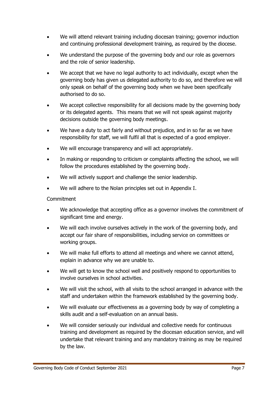- We will attend relevant training including diocesan training; governor induction and continuing professional development training, as required by the diocese.
- We understand the purpose of the governing body and our role as governors and the role of senior leadership.
- We accept that we have no legal authority to act individually, except when the governing body has given us delegated authority to do so, and therefore we will only speak on behalf of the governing body when we have been specifically authorised to do so.
- We accept collective responsibility for all decisions made by the governing body or its delegated agents. This means that we will not speak against majority decisions outside the governing body meetings.
- We have a duty to act fairly and without prejudice, and in so far as we have responsibility for staff, we will fulfil all that is expected of a good employer.
- We will encourage transparency and will act appropriately.
- In making or responding to criticism or complaints affecting the school, we will follow the procedures established by the governing body.
- We will actively support and challenge the senior leadership.
- We will adhere to the Nolan principles set out in Appendix I.

**Commitment** 

- We acknowledge that accepting office as a governor involves the commitment of significant time and energy.
- We will each involve ourselves actively in the work of the governing body, and accept our fair share of responsibilities, including service on committees or working groups.
- We will make full efforts to attend all meetings and where we cannot attend, explain in advance why we are unable to.
- We will get to know the school well and positively respond to opportunities to involve ourselves in school activities.
- We will visit the school, with all visits to the school arranged in advance with the staff and undertaken within the framework established by the governing body.
- We will evaluate our effectiveness as a governing body by way of completing a skills audit and a self-evaluation on an annual basis.
- We will consider seriously our individual and collective needs for continuous training and development as required by the diocesan education service, and will undertake that relevant training and any mandatory training as may be required by the law.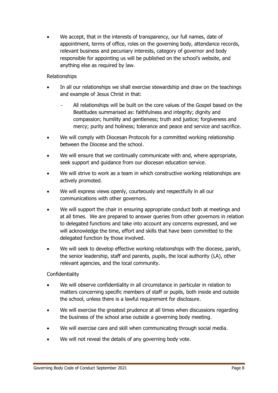We accept, that in the interests of transparency, our full names, date of appointment, terms of office, roles on the governing body, attendance records, relevant business and pecuniary interests, category of governor and body responsible for appointing us will be published on the school's website, and anything else as required by law.

#### Relationships

- In all our relationships we shall exercise stewardship and draw on the teachings and example of Jesus Christ in that:
	- All relationships will be built on the core values of the Gospel based on the Beatitudes summarised as: faithfulness and integrity; dignity and compassion; humility and gentleness; truth and justice; forgiveness and mercy; purity and holiness; tolerance and peace and service and sacrifice.
- We will comply with Diocesan Protocols for a committed working relationship between the Diocese and the school.
- We will ensure that we continually communicate with and, where appropriate, seek support and guidance from our diocesan education service.
- We will strive to work as a team in which constructive working relationships are actively promoted.
- We will express views openly, courteously and respectfully in all our communications with other governors.
- We will support the chair in ensuring appropriate conduct both at meetings and at all times. We are prepared to answer queries from other governors in relation to delegated functions and take into account any concerns expressed, and we will acknowledge the time, effort and skills that have been committed to the delegated function by those involved.
- We will seek to develop effective working relationships with the diocese, parish, the senior leadership, staff and parents, pupils, the local authority (LA), other relevant agencies, and the local community.

#### **Confidentiality**

- We will observe confidentiality in all circumstance in particular in relation to matters concerning specific members of staff or pupils, both inside and outside the school, unless there is a lawful requirement for disclosure.
- We will exercise the greatest prudence at all times when discussions regarding the business of the school arise outside a governing body meeting.
- We will exercise care and skill when communicating through social media.
- We will not reveal the details of any governing body vote.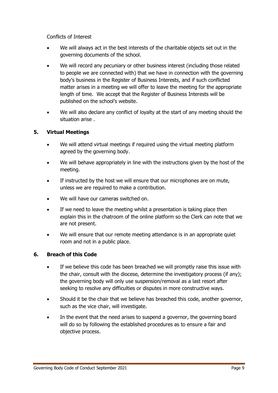Conflicts of Interest

- We will always act in the best interests of the charitable objects set out in the governing documents of the school.
- We will record any pecuniary or other business interest (including those related to people we are connected with) that we have in connection with the governing body's business in the Register of Business Interests, and if such conflicted matter arises in a meeting we will offer to leave the meeting for the appropriate length of time. We accept that the Register of Business Interests will be published on the school's website.
- We will also declare any conflict of loyalty at the start of any meeting should the situation arise .

#### <span id="page-8-0"></span>**5. Virtual Meetings**

- We will attend virtual meetings if required using the virtual meeting platform agreed by the governing body.
- We will behave appropriately in line with the instructions given by the host of the meeting.
- If instructed by the host we will ensure that our microphones are on mute, unless we are required to make a contribution.
- We will have our cameras switched on.
- If we need to leave the meeting whilst a presentation is taking place then explain this in the chatroom of the online platform so the Clerk can note that we are not present.
- We will ensure that our remote meeting attendance is in an appropriate quiet room and not in a public place.

#### <span id="page-8-1"></span>**6. Breach of this Code**

- If we believe this code has been breached we will promptly raise this issue with the chair, consult with the diocese, determine the investigatory process (if any); the governing body will only use suspension/removal as a last resort after seeking to resolve any difficulties or disputes in more constructive ways.
- Should it be the chair that we believe has breached this code, another governor, such as the vice chair, will investigate.
- In the event that the need arises to suspend a governor, the governing board will do so by following the established procedures as to ensure a fair and objective process.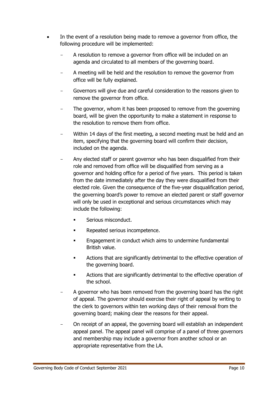- In the event of a resolution being made to remove a governor from office, the following procedure will be implemented:
	- A resolution to remove a governor from office will be included on an agenda and circulated to all members of the governing board.
	- A meeting will be held and the resolution to remove the governor from office will be fully explained.
	- Governors will give due and careful consideration to the reasons given to remove the governor from office.
	- The governor, whom it has been proposed to remove from the governing board, will be given the opportunity to make a statement in response to the resolution to remove them from office.
	- Within 14 days of the first meeting, a second meeting must be held and an item, specifying that the governing board will confirm their decision, included on the agenda.
	- Any elected staff or parent governor who has been disqualified from their role and removed from office will be disqualified from serving as a governor and holding office for a period of five years. This period is taken from the date immediately after the day they were disqualified from their elected role. Given the consequence of the five-year disqualification period, the governing board's power to remove an elected parent or staff governor will only be used in exceptional and serious circumstances which may include the following:
		- Serious misconduct.
		- **Repeated serious incompetence.**
		- **Engagement in conduct which aims to undermine fundamental** British value.
		- Actions that are significantly detrimental to the effective operation of the governing board.
		- Actions that are significantly detrimental to the effective operation of the school.
	- A governor who has been removed from the governing board has the right of appeal. The governor should exercise their right of appeal by writing to the clerk to governors within ten working days of their removal from the governing board; making clear the reasons for their appeal.
	- On receipt of an appeal, the governing board will establish an independent appeal panel. The appeal panel will comprise of a panel of three governors and membership may include a governor from another school or an appropriate representative from the LA.